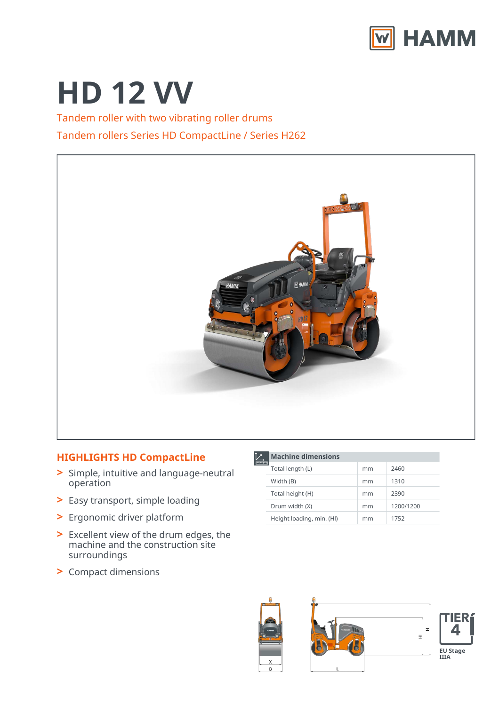

# **HD 12 VV**

Tandem roller with two vibrating roller drums Tandem rollers Series HD CompactLine / Series H262



## **HIGHLIGHTS HD CompactLine**

- Simple, intuitive and language-neutral **>** operation
- **>** Easy transport, simple loading
- **>** Ergonomic driver platform
- Excellent view of the drum edges, the **>** machine and the construction site surroundings
- **>** Compact dimensions

**Machine dimensions**

| Total length (L)          | mm | 2460      |
|---------------------------|----|-----------|
| Width (B)                 | mm | 1310      |
| Total height (H)          | mm | 2390      |
| Drum width (X)            | mm | 1200/1200 |
| Height loading, min. (HI) | mm | 1752      |